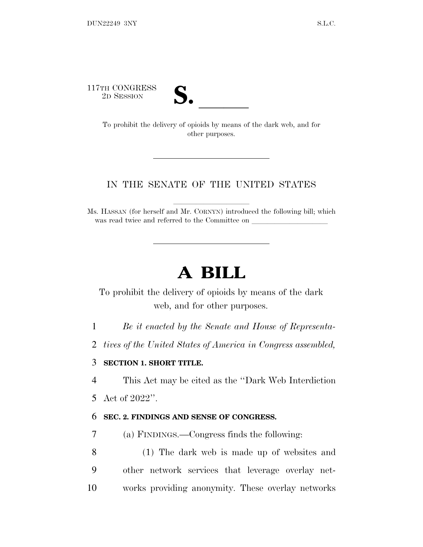117TH CONGRESS



TH CONGRESS<br>
2D SESSION<br>
To prohibit the delivery of opioids by means of the dark web, and for other purposes.

# IN THE SENATE OF THE UNITED STATES

Ms. HASSAN (for herself and Mr. CORNYN) introduced the following bill; which was read twice and referred to the Committee on

# **A BILL**

To prohibit the delivery of opioids by means of the dark web, and for other purposes.

1 *Be it enacted by the Senate and House of Representa-*

2 *tives of the United States of America in Congress assembled,*

# 3 **SECTION 1. SHORT TITLE.**

4 This Act may be cited as the ''Dark Web Interdiction

5 Act of 2022''.

## 6 **SEC. 2. FINDINGS AND SENSE OF CONGRESS.**

7 (a) FINDINGS.—Congress finds the following:

8 (1) The dark web is made up of websites and 9 other network services that leverage overlay net-10 works providing anonymity. These overlay networks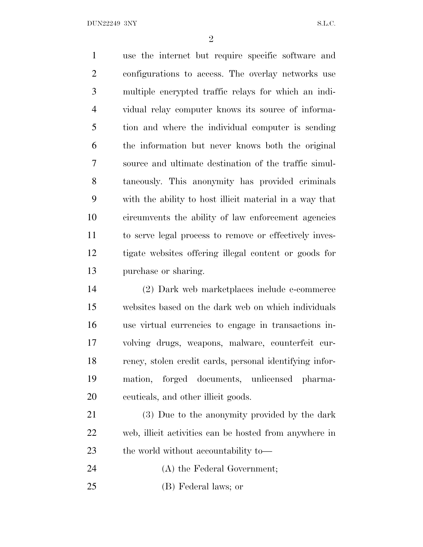DUN22249 3NY S.L.C.

 use the internet but require specific software and configurations to access. The overlay networks use multiple encrypted traffic relays for which an indi- vidual relay computer knows its source of informa- tion and where the individual computer is sending the information but never knows both the original source and ultimate destination of the traffic simul- taneously. This anonymity has provided criminals with the ability to host illicit material in a way that circumvents the ability of law enforcement agencies to serve legal process to remove or effectively inves- tigate websites offering illegal content or goods for purchase or sharing.

 (2) Dark web marketplaces include e-commerce websites based on the dark web on which individuals use virtual currencies to engage in transactions in- volving drugs, weapons, malware, counterfeit cur- rency, stolen credit cards, personal identifying infor- mation, forged documents, unlicensed pharma-ceuticals, and other illicit goods.

 (3) Due to the anonymity provided by the dark web, illicit activities can be hosted from anywhere in 23 the world without accountability to—

(A) the Federal Government;

(B) Federal laws; or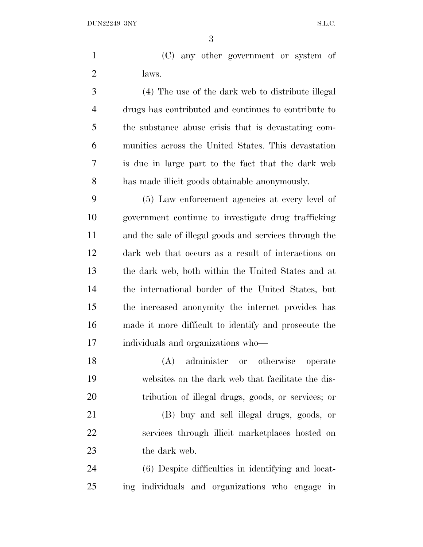(C) any other government or system of laws.

 (4) The use of the dark web to distribute illegal drugs has contributed and continues to contribute to the substance abuse crisis that is devastating com- munities across the United States. This devastation is due in large part to the fact that the dark web has made illicit goods obtainable anonymously.

 (5) Law enforcement agencies at every level of government continue to investigate drug trafficking and the sale of illegal goods and services through the dark web that occurs as a result of interactions on the dark web, both within the United States and at the international border of the United States, but the increased anonymity the internet provides has made it more difficult to identify and prosecute the individuals and organizations who—

 (A) administer or otherwise operate websites on the dark web that facilitate the dis-tribution of illegal drugs, goods, or services; or

 (B) buy and sell illegal drugs, goods, or services through illicit marketplaces hosted on the dark web.

 (6) Despite difficulties in identifying and locat-ing individuals and organizations who engage in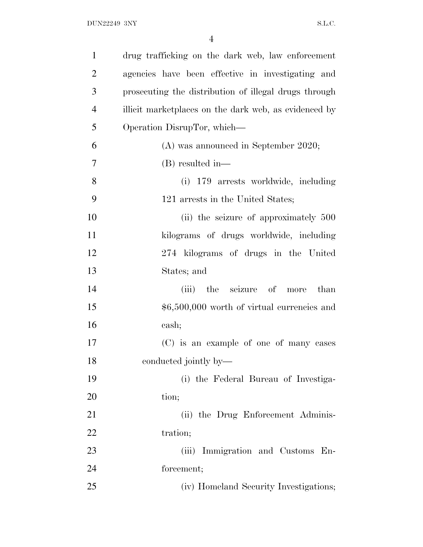| $\mathbf{1}$   | drug trafficking on the dark web, law enforcement      |
|----------------|--------------------------------------------------------|
| $\overline{2}$ | agencies have been effective in investigating and      |
| 3              | prosecuting the distribution of illegal drugs through  |
| $\overline{4}$ | illicit market places on the dark web, as evidenced by |
| 5              | Operation DisrupTor, which—                            |
| 6              | $(A)$ was announced in September 2020;                 |
| 7              | (B) resulted in—                                       |
| 8              | (i) 179 arrests worldwide, including                   |
| 9              | 121 arrests in the United States;                      |
| 10             | (ii) the seizure of approximately 500                  |
| 11             | kilograms of drugs worldwide, including                |
| 12             | 274 kilograms of drugs in the United                   |
| 13             | States; and                                            |
| 14             | (iii) the seizure of<br>than<br>more                   |
| 15             | $$6,500,000$ worth of virtual currencies and           |
| 16             | cash;                                                  |
| 17             | (C) is an example of one of many cases                 |
| 18             | conducted jointly by-                                  |
| 19             | (i) the Federal Bureau of Investiga-                   |
| 20             | tion;                                                  |
| 21             | (ii) the Drug Enforcement Adminis-                     |
| 22             | tration;                                               |
| 23             | Immigration and Customs En-<br>(iii)                   |
| 24             | forcement;                                             |
| 25             | (iv) Homeland Security Investigations;                 |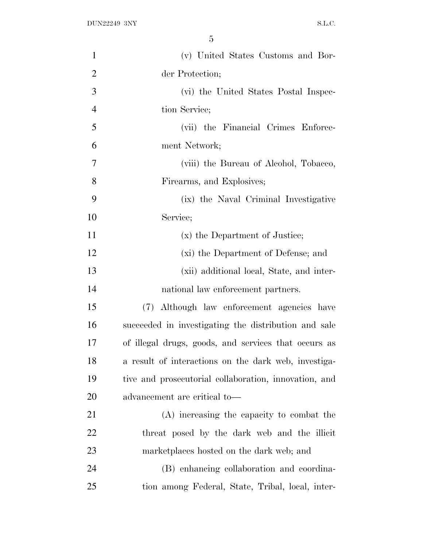| $\mathbf{1}$   | (v) United States Customs and Bor-                    |
|----------------|-------------------------------------------------------|
| $\overline{2}$ | der Protection;                                       |
| 3              | (vi) the United States Postal Inspec-                 |
| $\overline{4}$ | tion Service;                                         |
| 5              | (vii) the Financial Crimes Enforce-                   |
| 6              | ment Network;                                         |
| $\overline{7}$ | (viii) the Bureau of Alcohol, Tobacco,                |
| 8              | Firearms, and Explosives;                             |
| 9              | (ix) the Naval Criminal Investigative                 |
| 10             | Service;                                              |
| 11             | (x) the Department of Justice;                        |
| 12             | (xi) the Department of Defense; and                   |
| 13             | (xii) additional local, State, and inter-             |
| 14             | national law enforcement partners.                    |
| 15             | (7) Although law enforcement agencies have            |
| 16             | succeeded in investigating the distribution and sale  |
| 17             | of illegal drugs, goods, and services that occurs as  |
| 18             | a result of interactions on the dark web, investiga-  |
| 19             | tive and prosecutorial collaboration, innovation, and |
| 20             | advancement are critical to-                          |
| 21             | (A) increasing the capacity to combat the             |
| <u>22</u>      | threat posed by the dark web and the illicit          |
| 23             | market places hosted on the dark web; and             |
| 24             | (B) enhancing collaboration and coordina-             |
| 25             | tion among Federal, State, Tribal, local, inter-      |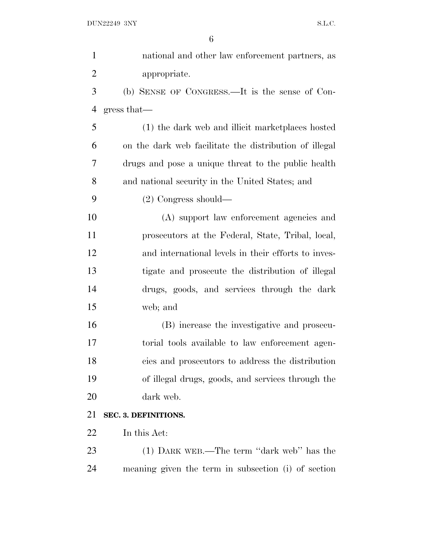| national and other law enforcement partners, as        |
|--------------------------------------------------------|
| appropriate.                                           |
| (b) SENSE OF CONGRESS.—It is the sense of Con-         |
| gress that—                                            |
| (1) the dark web and illicit market places hosted      |
| on the dark web facilitate the distribution of illegal |
| drugs and pose a unique threat to the public health    |
| and national security in the United States; and        |
| $(2)$ Congress should—                                 |
| (A) support law enforcement agencies and               |
| prosecutors at the Federal, State, Tribal, local,      |
| and international levels in their efforts to inves-    |
| tigate and prosecute the distribution of illegal       |
| drugs, goods, and services through the dark            |
| web; and                                               |
| (B) increase the investigative and prosecu-            |
| torial tools available to law enforcement agen-        |
| cies and prosecutors to address the distribution       |
| of illegal drugs, goods, and services through the      |
| dark web.                                              |
| SEC. 3. DEFINITIONS.                                   |
| In this Act:                                           |
| (1) DARK WEB.—The term "dark web" has the              |
| meaning given the term in subsection (i) of section    |
|                                                        |
|                                                        |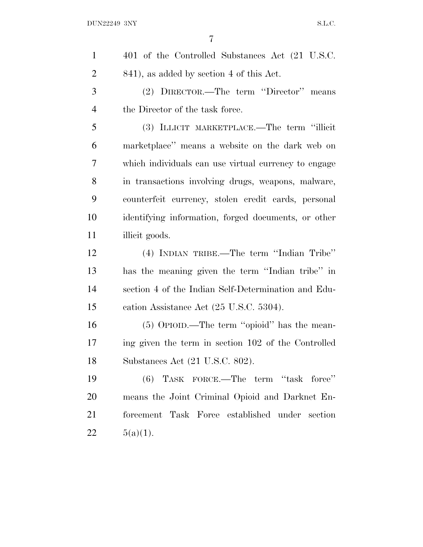| $\mathbf{1}$   | 401 of the Controlled Substances Act (21 U.S.C.      |
|----------------|------------------------------------------------------|
| $\overline{2}$ | 841), as added by section 4 of this Act.             |
| 3              | (2) DIRECTOR.—The term "Director" means              |
| $\overline{4}$ | the Director of the task force.                      |
| 5              | (3) ILLICIT MARKETPLACE.—The term "illicit"          |
| 6              | marketplace" means a website on the dark web on      |
| 7              | which individuals can use virtual currency to engage |
| 8              | in transactions involving drugs, weapons, malware,   |
| 9              | counterfeit currency, stolen credit cards, personal  |
| 10             | identifying information, forged documents, or other  |
| 11             | illicit goods.                                       |
| 12             | (4) INDIAN TRIBE.—The term "Indian Tribe"            |
| 13             | has the meaning given the term "Indian tribe" in     |
| 14             | section 4 of the Indian Self-Determination and Edu-  |
| 15             | cation Assistance Act (25 U.S.C. 5304).              |
| 16             | (5) OPIOID.—The term "opioid" has the mean-          |
| 17             | ing given the term in section 102 of the Controlled  |
| 18             | Substances Act (21 U.S.C. 802).                      |
| 19             | (6) TASK FORCE.—The term "task force"                |
| 20             | means the Joint Criminal Opioid and Darknet En-      |
| 21             | forcement Task Force established under section       |
| 22             | $5(a)(1)$ .                                          |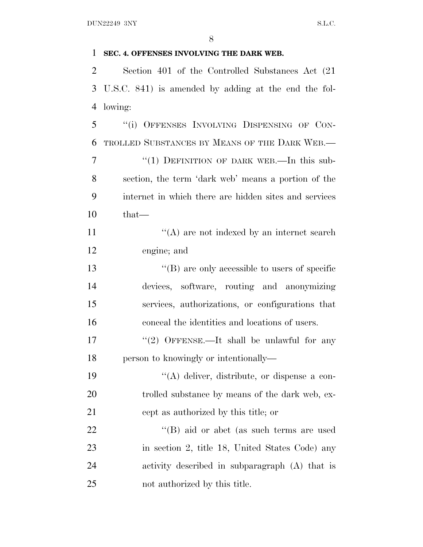## **SEC. 4. OFFENSES INVOLVING THE DARK WEB.**

 Section 401 of the Controlled Substances Act (21 U.S.C. 841) is amended by adding at the end the fol-lowing:

 ''(i) OFFENSES INVOLVING DISPENSING OF CON-TROLLED SUBSTANCES BY MEANS OF THE DARK WEB.—

7 "(1) DEFINITION OF DARK WEB.—In this sub- section, the term 'dark web' means a portion of the internet in which there are hidden sites and services that—

11  $\langle (A)$  are not indexed by an internet search engine; and

13 ''(B) are only accessible to users of specific devices, software, routing and anonymizing services, authorizations, or configurations that conceal the identities and locations of users.

17 "(2) OFFENSE.—It shall be unlawful for any person to knowingly or intentionally—

19  $((A)$  deliver, distribute, or dispense a con-20 trolled substance by means of the dark web, ex-cept as authorized by this title; or

 ''(B) aid or abet (as such terms are used in section 2, title 18, United States Code) any activity described in subparagraph (A) that is not authorized by this title.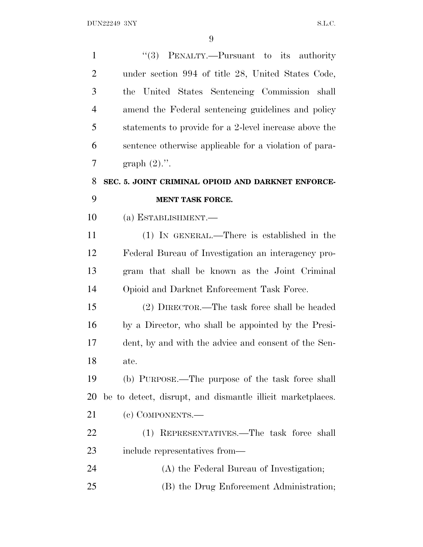| $\mathbf{1}$   | "(3) PENALTY.—Pursuant to its authority                    |
|----------------|------------------------------------------------------------|
| $\overline{2}$ | under section 994 of title 28, United States Code,         |
| 3              | the United States Sentencing Commission shall              |
| $\overline{4}$ | amend the Federal sentencing guidelines and policy         |
| 5              | statements to provide for a 2-level increase above the     |
| 6              | sentence otherwise applicable for a violation of para-     |
| 7              | graph $(2)$ .".                                            |
| 8              | SEC. 5. JOINT CRIMINAL OPIOID AND DARKNET ENFORCE-         |
| 9              | <b>MENT TASK FORCE.</b>                                    |
| 10             | (a) ESTABLISHMENT.—                                        |
| 11             | (1) IN GENERAL.—There is established in the                |
| 12             | Federal Bureau of Investigation an interagency pro-        |
| 13             | gram that shall be known as the Joint Criminal             |
| 14             | Opioid and Darknet Enforcement Task Force.                 |
| 15             | (2) DIRECTOR.—The task force shall be headed               |
| 16             | by a Director, who shall be appointed by the Presi-        |
| 17             | dent, by and with the advice and consent of the Sen-       |
| 18             | ate.                                                       |
| 19             | (b) PURPOSE.—The purpose of the task force shall           |
| 20             | be to detect, disrupt, and dismantle illicit marketplaces. |
| 21             | (c) COMPONENTS.—                                           |
| 22             | (1) REPRESENTATIVES.—The task force shall                  |
| 23             | include representatives from—                              |
| 24             | (A) the Federal Bureau of Investigation;                   |
| 25             | (B) the Drug Enforcement Administration;                   |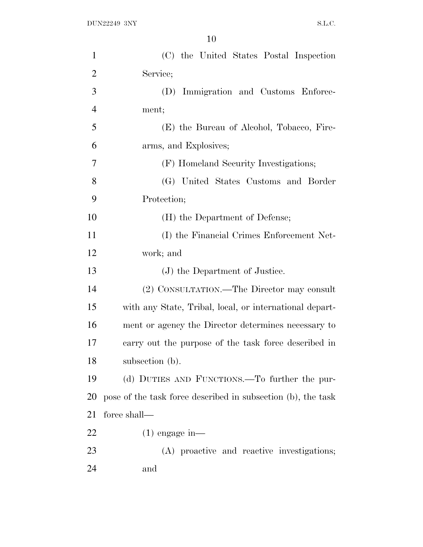| $\mathbf{1}$   | (C) the United States Postal Inspection                      |
|----------------|--------------------------------------------------------------|
| $\overline{2}$ | Service;                                                     |
| 3              | Immigration and Customs Enforce-<br>(D)                      |
| $\overline{4}$ | ment;                                                        |
| 5              | (E) the Bureau of Alcohol, Tobacco, Fire-                    |
| 6              | arms, and Explosives;                                        |
| 7              | (F) Homeland Security Investigations;                        |
| 8              | (G) United States Customs and Border                         |
| 9              | Protection;                                                  |
| 10             | (H) the Department of Defense;                               |
| 11             | (I) the Financial Crimes Enforcement Net-                    |
| 12             | work; and                                                    |
| 13             | (J) the Department of Justice.                               |
| 14             | (2) CONSULTATION.—The Director may consult                   |
| 15             | with any State, Tribal, local, or international depart-      |
| 16             | ment or agency the Director determines necessary to          |
| 17             | carry out the purpose of the task force described in         |
| 18             | subsection (b).                                              |
| 19             | (d) DUTIES AND FUNCTIONS.—To further the pur-                |
| 20             | pose of the task force described in subsection (b), the task |
| 21             | force shall—                                                 |
| 22             | $(1)$ engage in—                                             |
| 23             | (A) proactive and reactive investigations;                   |
| 24             | and                                                          |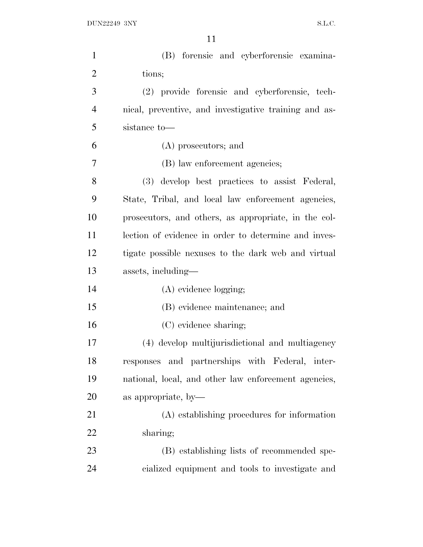| $\mathbf{1}$   | (B) forensic and cyberforensic examina-               |
|----------------|-------------------------------------------------------|
| $\overline{2}$ | tions;                                                |
| 3              | (2) provide forensic and cyberforensic, tech-         |
| $\overline{4}$ | nical, preventive, and investigative training and as- |
| 5              | sistance to-                                          |
| 6              | (A) prosecutors; and                                  |
| $\overline{7}$ | (B) law enforcement agencies;                         |
| 8              | (3) develop best practices to assist Federal,         |
| 9              | State, Tribal, and local law enforcement agencies,    |
| 10             | prosecutors, and others, as appropriate, in the col-  |
| 11             | lection of evidence in order to determine and inves-  |
| 12             | tigate possible nexuses to the dark web and virtual   |
| 13             | assets, including—                                    |
| 14             | (A) evidence logging;                                 |
| 15             | (B) evidence maintenance; and                         |
| 16             | (C) evidence sharing;                                 |
| 17             | (4) develop multijurisdictional and multiagency       |
| 18             | responses and partnerships with Federal, inter-       |
| 19             | national, local, and other law enforcement agencies,  |
| 20             | as appropriate, by-                                   |
| 21             | (A) establishing procedures for information           |
| 22             | sharing;                                              |
| 23             | (B) establishing lists of recommended spe-            |
| 24             | cialized equipment and tools to investigate and       |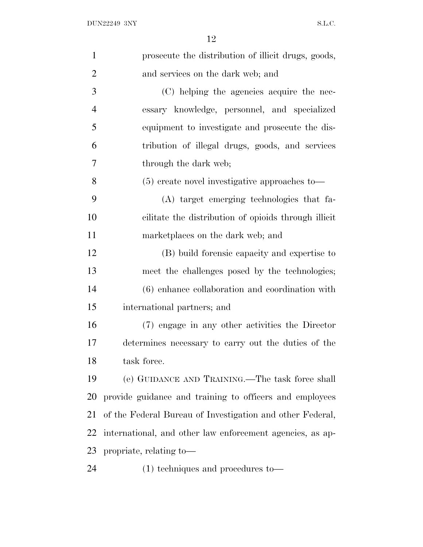| $\mathbf{1}$   | prosecute the distribution of illicit drugs, goods,       |
|----------------|-----------------------------------------------------------|
| $\overline{2}$ | and services on the dark web; and                         |
| 3              | (C) helping the agencies acquire the nec-                 |
| $\overline{4}$ | essary knowledge, personnel, and specialized              |
| 5              | equipment to investigate and prosecute the dis-           |
| 6              | tribution of illegal drugs, goods, and services           |
| 7              | through the dark web;                                     |
| 8              | $(5)$ create novel investigative approaches to            |
| 9              | (A) target emerging technologies that fa-                 |
| 10             | cilitate the distribution of opioids through illicit      |
| 11             | marketplaces on the dark web; and                         |
| 12             | (B) build forensic capacity and expertise to              |
| 13             | meet the challenges posed by the technologies;            |
| 14             | (6) enhance collaboration and coordination with           |
| 15             | international partners; and                               |
| 16             | (7) engage in any other activities the Director           |
| 17             | determines necessary to carry out the duties of the       |
| 18             | task force.                                               |
| 19             | (e) GUIDANCE AND TRAINING.—The task force shall           |
| 20             | provide guidance and training to officers and employees   |
| 21             | of the Federal Bureau of Investigation and other Federal, |
| 22             | international, and other law enforcement agencies, as ap- |
| 23             | propriate, relating to-                                   |
|                |                                                           |

(1) techniques and procedures to—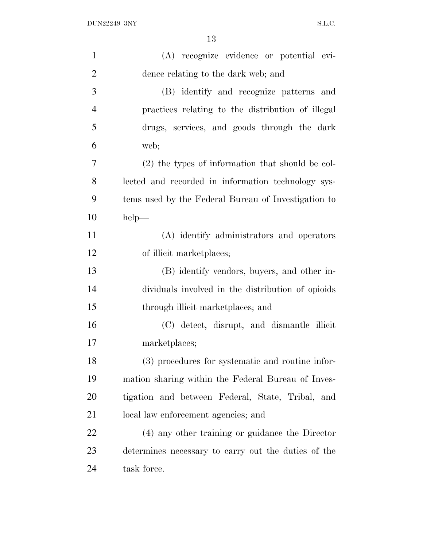| $\mathbf{1}$   | (A) recognize evidence or potential evi-            |
|----------------|-----------------------------------------------------|
| $\overline{2}$ | dence relating to the dark web; and                 |
| 3              | (B) identify and recognize patterns and             |
| $\overline{4}$ | practices relating to the distribution of illegal   |
| 5              | drugs, services, and goods through the dark         |
| 6              | web;                                                |
| 7              | $(2)$ the types of information that should be col-  |
| 8              | lected and recorded in information technology sys-  |
| 9              | tems used by the Federal Bureau of Investigation to |
| 10             | $help-$                                             |
| 11             | (A) identify administrators and operators           |
| 12             | of illicit marketplaces;                            |
| 13             | (B) identify vendors, buyers, and other in-         |
| 14             | dividuals involved in the distribution of opioids   |
| 15             | through illicit marketplaces; and                   |
| 16             | (C) detect, disrupt, and dismantle illicit          |
| 17             | marketplaces;                                       |
| 18             | (3) procedures for systematic and routine infor-    |
| 19             | mation sharing within the Federal Bureau of Inves-  |
| 20             | tigation and between Federal, State, Tribal, and    |
| 21             | local law enforcement agencies; and                 |
| 22             | (4) any other training or guidance the Director     |
| 23             | determines necessary to carry out the duties of the |
| 24             | task force.                                         |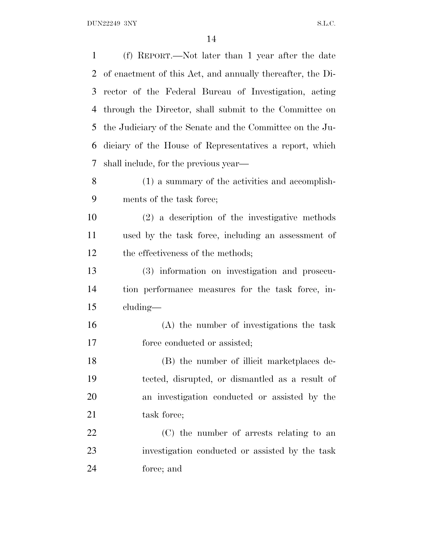| $\mathbf{1}$ | (f) REPORT.—Not later than 1 year after the date           |
|--------------|------------------------------------------------------------|
| 2            | of enactment of this Act, and annually thereafter, the Di- |
| 3            | rector of the Federal Bureau of Investigation, acting      |
| 4            | through the Director, shall submit to the Committee on     |
| 5            | the Judiciary of the Senate and the Committee on the Ju-   |
| 6            | diciary of the House of Representatives a report, which    |
| 7            | shall include, for the previous year—                      |
| 8            | (1) a summary of the activities and accomplish-            |
| 9            | ments of the task force;                                   |
| 10           | $(2)$ a description of the investigative methods           |
| 11           | used by the task force, including an assessment of         |
| 12           | the effectiveness of the methods;                          |
| 13           | (3) information on investigation and prosecu-              |
| 14           | tion performance measures for the task force, in-          |
| 15           | cluding—                                                   |
| 16           | (A) the number of investigations the task                  |
| 17           | force conducted or assisted;                               |
| 18           | (B) the number of illicit marketplaces de-                 |
| 19           | tected, disrupted, or dismantled as a result of            |
| 20           | an investigation conducted or assisted by the              |
| 21           | task force;                                                |
| 22           | (C) the number of arrests relating to an                   |
| 23           | investigation conducted or assisted by the task            |
| 24           | force; and                                                 |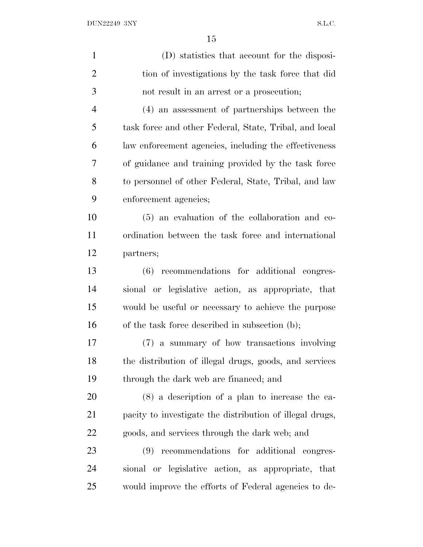| $\mathbf{1}$   | (D) statistics that account for the disposi-             |
|----------------|----------------------------------------------------------|
| $\overline{2}$ | tion of investigations by the task force that did        |
| 3              | not result in an arrest or a prosecution;                |
| $\overline{4}$ | (4) an assessment of partnerships between the            |
| 5              | task force and other Federal, State, Tribal, and local   |
| 6              | law enforcement agencies, including the effectiveness    |
| 7              | of guidance and training provided by the task force      |
| 8              | to personnel of other Federal, State, Tribal, and law    |
| 9              | enforcement agencies;                                    |
| 10             | (5) an evaluation of the collaboration and co-           |
| 11             | ordination between the task force and international      |
| 12             | partners;                                                |
| 13             | (6) recommendations for additional congres-              |
| 14             | sional or legislative action, as appropriate, that       |
| 15             | would be useful or necessary to achieve the purpose      |
| 16             | of the task force described in subsection (b);           |
| 17             | (7) a summary of how transactions involving              |
| 18             | the distribution of illegal drugs, goods, and services   |
| 19             | through the dark web are financed; and                   |
| 20             | $(8)$ a description of a plan to increase the ca-        |
| 21             | pacity to investigate the distribution of illegal drugs, |
| 22             | goods, and services through the dark web; and            |
| 23             | recommendations for additional congres-<br>(9)           |
| 24             | sional or legislative action, as appropriate, that       |
| 25             | would improve the efforts of Federal agencies to de-     |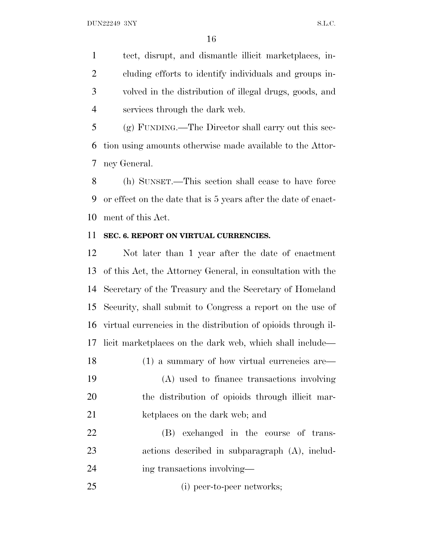tect, disrupt, and dismantle illicit marketplaces, in- cluding efforts to identify individuals and groups in- volved in the distribution of illegal drugs, goods, and services through the dark web.

 (g) FUNDING.—The Director shall carry out this sec- tion using amounts otherwise made available to the Attor-ney General.

 (h) SUNSET.—This section shall cease to have force or effect on the date that is 5 years after the date of enact-ment of this Act.

#### **SEC. 6. REPORT ON VIRTUAL CURRENCIES.**

 Not later than 1 year after the date of enactment of this Act, the Attorney General, in consultation with the Secretary of the Treasury and the Secretary of Homeland Security, shall submit to Congress a report on the use of virtual currencies in the distribution of opioids through il-licit marketplaces on the dark web, which shall include—

- 18 (1) a summary of how virtual currencies are— (A) used to finance transactions involving the distribution of opioids through illicit mar-21 ketplaces on the dark web; and
- (B) exchanged in the course of trans- actions described in subparagraph (A), includ-24 ing transactions involving—
- (i) peer-to-peer networks;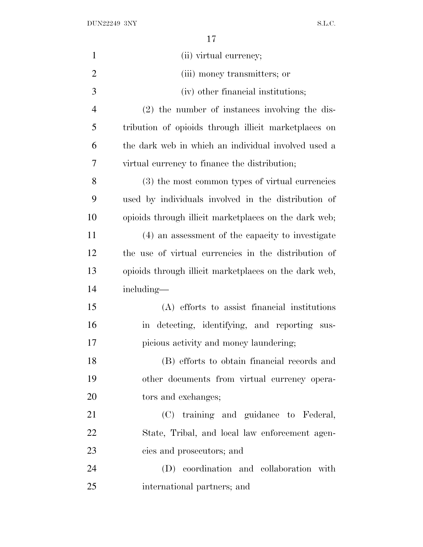DUN22249 3NY S.L.C.

| $\mathbf{1}$   | (ii) virtual currency;                                 |
|----------------|--------------------------------------------------------|
| $\overline{2}$ | (iii) money transmitters; or                           |
| 3              | (iv) other financial institutions;                     |
| $\overline{4}$ | $(2)$ the number of instances involving the dis-       |
| 5              | tribution of opioids through illicit marketplaces on   |
| 6              | the dark web in which an individual involved used a    |
| 7              | virtual currency to finance the distribution;          |
| 8              | (3) the most common types of virtual currencies        |
| 9              | used by individuals involved in the distribution of    |
| 10             | opioids through illicit market places on the dark web; |
| 11             | (4) an assessment of the capacity to investigate       |
| 12             | the use of virtual currencies in the distribution of   |
| 13             | opioids through illicit market places on the dark web, |
| 14             | including—                                             |
| 15             | (A) efforts to assist financial institutions           |
| 16             | detecting, identifying, and reporting<br>sus-<br>in    |
| 17             | picious activity and money laundering;                 |
| 18             | (B) efforts to obtain financial records and            |
| 19             | other documents from virtual currency opera-           |
| 20             | tors and exchanges;                                    |
| 21             | (C) training and guidance to Federal,                  |
| 22             | State, Tribal, and local law enforcement agen-         |
| 23             | cies and prosecutors; and                              |
| 24             | (D) coordination and collaboration with                |
| 25             | international partners; and                            |